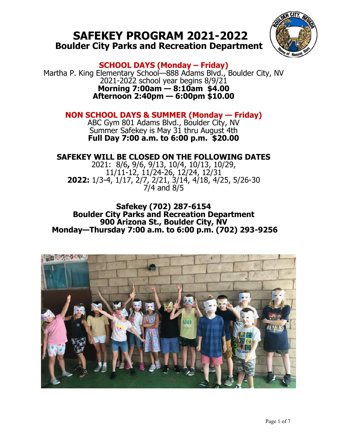# **SAFEKEY PROGRAM 2021-2022 Boulder City Parks and Recreation Department**



**SCHOOL DAYS (Monday – Friday)**

Martha P. King Elementary School—888 Adams Blvd., Boulder City, NV 2021-2022 school year begins 8/9/21 **Morning 7:00am — 8:10am \$4.00 Afternoon 2:40pm — 6:00pm \$10.00**

## **NON SCHOOL DAYS & SUMMER (Monday — Friday)**

ABC Gym 801 Adams Blvd., Boulder City, NV Summer Safekey is May 31 thru August 4th **Full Day 7:00 a.m. to 6:00 p.m. \$20.00**

## **SAFEKEY WILL BE CLOSED ON THE FOLLOWING DATES**

2021: 8/6**,** 9/6, 9/13, 10/4, 10/13, 10/29, 11/11-12, 11/24-26, 12/24, 12/31 **2022:** 1/3-4, 1/17, 2/7, 2/21, 3/14, 4/18, 4/25, 5/26-30 7/4 and 8/5

**Safekey (702) 287-6154 Boulder City Parks and Recreation Department 900 Arizona St., Boulder City, NV Monday—Thursday 7:00 a.m. to 6:00 p.m. (702) 293-9256** 

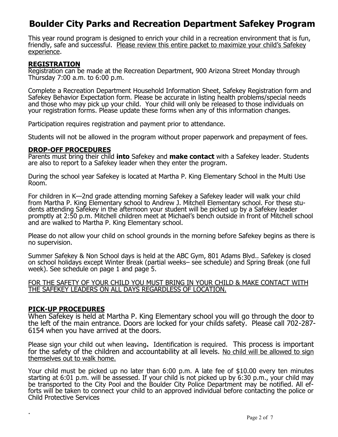# **Boulder City Parks and Recreation Department Safekey Program**

This year round program is designed to enrich your child in a recreation environment that is fun, friendly, safe and successful. Please review this entire packet to maximize your child's Safekey experience.

#### **REGISTRATION**

Registration can be made at the Recreation Department, 900 Arizona Street Monday through Thursday 7:00 a.m. to 6:00 p.m.

Complete a Recreation Department Household Information Sheet, Safekey Registration form and Safekey Behavior Expectation form. Please be accurate in listing health problems/special needs and those who may pick up your child. Your child will only be released to those individuals on your registration forms. Please update these forms when any of this information changes.

Participation requires registration and payment prior to attendance.

Students will not be allowed in the program without proper paperwork and prepayment of fees.

#### **DROP-OFF PROCEDURES**

Parents must bring their child **into** Safekey and **make contact** with a Safekey leader. Students are also to report to a Safekey leader when they enter the program.

During the school year Safekey is located at Martha P. King Elementary School in the Multi Use Room.

For children in K—2nd grade attending morning Safekey a Safekey leader will walk your child from Martha P. King Elementary school to Andrew J. Mitchell Elementary school. For these students attending Safekey in the afternoon your student will be picked up by a Safekey leader promptly at 2:50 p.m. Mitchell children meet at Michael's bench outside in front of Mitchell school and are walked to Martha P. King Elementary school.

Please do not allow your child on school grounds in the morning before Safekey begins as there is no supervision.

Summer Safekey & Non School days is held at the ABC Gym, 801 Adams Blvd.. Safekey is closed on school holidays except Winter Break (partial weeks– see schedule) and Spring Break (one full week). See schedule on page 1 and page 5.

FOR THE SAFETY OF YOUR CHILD YOU MUST BRING IN YOUR CHILD & MAKE CONTACT WITH THE SAFEKEY LEADERS ON ALL DAYS REGARDLESS OF LOCATION.

#### **PICK-UP PROCEDURES**

.

When Safekey is held at Martha P. King Elementary school you will go through the door to the left of the main entrance. Doors are locked for your childs safety. Please call 702-287- 6154 when you have arrived at the doors.

Please sign your child out when leaving**.** Identification is required. This process is important for the safety of the children and accountability at all levels. No child will be allowed to sign themselves out to walk home.

Your child must be picked up no later than 6:00 p.m. A late fee of \$10.00 every ten minutes starting at 6:01 p.m. will be assessed. If your child is not picked up by 6:30 p.m., your child may be transported to the City Pool and the Boulder City Police Department may be notified. All efforts will be taken to connect your child to an approved individual before contacting the police or Child Protective Services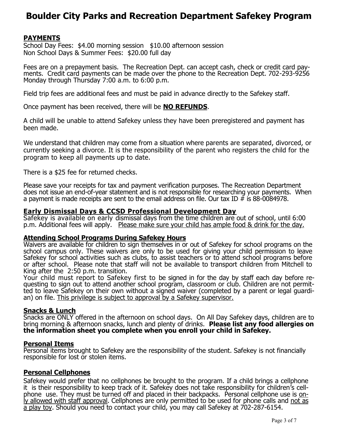# **Boulder City Parks and Recreation Department Safekey Program**

### **PAYMENTS**

School Day Fees: \$4.00 morning session \$10.00 afternoon session Non School Days & Summer Fees: \$20.00 full day

Fees are on a prepayment basis. The Recreation Dept. can accept cash, check or credit card payments. Credit card payments can be made over the phone to the Recreation Dept. 702-293-9256 Monday through Thursday 7:00 a.m. to 6:00 p.m.

Field trip fees are additional fees and must be paid in advance directly to the Safekey staff.

Once payment has been received, there will be **NO REFUNDS**.

A child will be unable to attend Safekey unless they have been preregistered and payment has been made.

We understand that children may come from a situation where parents are separated, divorced, or currently seeking a divorce. It is the responsibility of the parent who registers the child for the program to keep all payments up to date.

There is a \$25 fee for returned checks.

Please save your receipts for tax and payment verification purposes. The Recreation Department does not issue an end-of-year statement and is not responsible for researching your payments. When a payment is made receipts are sent to the email address on file. Our tax ID  $\bar{\#}$  is 88-0084978.

#### **Early Dismissal Days & CCSD Professional Development Day**

Safekey is available on early dismissal days from the time children are out of school, until 6:00 p.m. Additional fees will apply. Please make sure your child has ample food & drink for the day.

#### **Attending School Programs During Safekey Hours**

Waivers are available for children to sign themselves in or out of Safekey for school programs on the school campus only. These waivers are only to be used for giving your child permission to leave Safekey for school activities such as clubs, to assist teachers or to attend school programs before or after school. Please note that staff will not be available to transport children from Mitchell to King after the 2:50 p.m. transition.

Your child must report to Safekey first to be signed in for the day by staff each day before requesting to sign out to attend another school program, classroom or club. Children are not permitted to leave Safekey on their own without a signed waiver (completed by a parent or legal guardian) on file. This privilege is subject to approval by a Safekey supervisor.

#### **Snacks & Lunch**

Snacks are ONLY offered in the afternoon on school days. On All Day Safekey days, children are to bring morning & afternoon snacks, lunch and plenty of drinks. **Please list any food allergies on the information sheet you complete when you enroll your child in Safekey.** 

#### **Personal Items**

Personal items brought to Safekey are the responsibility of the student. Safekey is not financially responsible for lost or stolen items.

#### **Personal Cellphones**

Safekey would prefer that no cellphones be brought to the program. If a child brings a cellphone it is their responsibility to keep track of it. Safekey does not take responsibility for children's cellphone use. They must be turned off and placed in their backpacks. Personal cellphone use is only allowed with staff approval. Cellphones are only permitted to be used for phone calls and not as a play toy. Should you need to contact your child, you may call Safekey at 702-287-6154.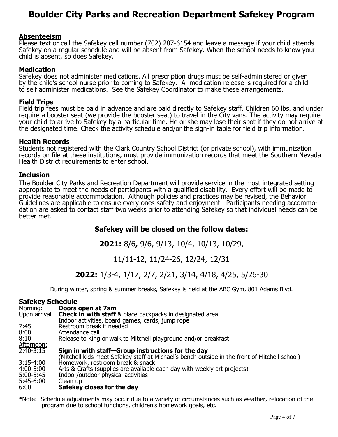# **Boulder City Parks and Recreation Department Safekey Program**

#### **Absenteeism**

Please text or call the Safekey cell number (702) 287-6154 and leave a message if your child attends Safekey on a regular schedule and will be absent from Safekey. When the school needs to know your child is absent, so does Safekey.

#### **Medication**

Safekey does not administer medications. All prescription drugs must be self-administered or given by the child's school nurse prior to coming to Safekey. A medication release is required for a child to self administer medications. See the Safekey Coordinator to make these arrangements.

#### **Field Trips**

Field trip fees must be paid in advance and are paid directly to Safekey staff. Children 60 lbs. and under require a booster seat (we provide the booster seat) to travel in the City vans. The activity may require your child to arrive to Safekey by a particular time. He or she may lose their spot if they do not arrive at the designated time. Check the activity schedule and/or the sign-in table for field trip information.

#### **Health Records**

Students not registered with the Clark Country School District (or private school), with immunization records on file at these institutions, must provide immunization records that meet the Southern Nevada Health District requirements to enter school.

#### **Inclusion**

The Boulder City Parks and Recreation Department will provide service in the most integrated setting appropriate to meet the needs of participants with a qualified disability. Every effort will be made to provide reasonable accommodation. Although policies and practices may be revised, the Behavior Guidelines are applicable to ensure every ones safety and enjoyment. Participants needing accommodation are asked to contact staff two weeks prior to attending Safekey so that individual needs can be better met.

### **Safekey will be closed on the follow dates:**

**2021:** 8/6**,** 9/6, 9/13, 10/4, 10/13, 10/29,

### 11/11-12, 11/24-26, 12/24, 12/31

## **2022:** 1/3-4, 1/17, 2/7, 2/21, 3/14, 4/18, 4/25, 5/26-30

During winter, spring & summer breaks, Safekey is held at the ABC Gym, 801 Adams Blvd.

#### **Safekey Schedule**

| Morning:     | Doors open at 7am                                                                             |
|--------------|-----------------------------------------------------------------------------------------------|
| Upon arrival | <b>Check in with staff</b> & place backpacks in designated area                               |
|              | Indoor activities, board games, cards, jump rope                                              |
| 7:45         | Restroom break if needed                                                                      |
| 8:00         | Attendance call                                                                               |
| 8:10         | Release to King or walk to Mitchell playground and/or breakfast                               |
| Afternoon:   |                                                                                               |
| 2:40-3:15    | Sign in with staff-Group instructions for the day                                             |
|              | (Mitchell kids meet Safekey staff at Michael's bench outside in the front of Mitchell school) |
| 3:15-4:00    | Homework, restroom break & snack                                                              |
| 4:00-5:00    | Arts & Crafts (supplies are available each day with weekly art projects)                      |
| 5:00-5:45    | Indoor/outdoor physical activities                                                            |
| 5:45-6:00    | Clean up                                                                                      |
| 6:00         | Safekey closes for the day                                                                    |

\*Note: Schedule adjustments may occur due to a variety of circumstances such as weather, relocation of the program due to school functions, children's homework goals, etc.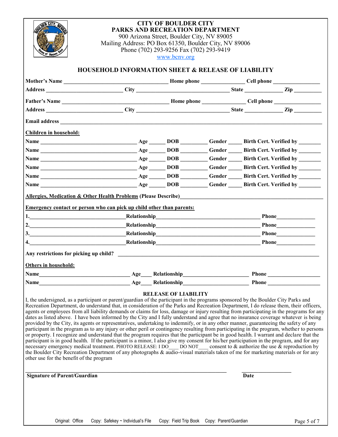

### **CITY OF BOULDER CITY PARKS AND RECREATION DEPARTMENT**

900 Arizona Street, Boulder City, NV 89005 Mailing Address: PO Box 61350, Boulder City, NV 89006 Phone (702) 293-9256 Fax (702) 293-9419 [www.bcnv.org](http://www.bcnv.org/)

#### **HOUSEHOLD INFORMATION SHEET & RELEASE OF LIABILITY**

|                               | Address Zip City City State Zip Zip                                                                                                                                                                                 |  |                  |
|-------------------------------|---------------------------------------------------------------------------------------------------------------------------------------------------------------------------------------------------------------------|--|------------------|
|                               |                                                                                                                                                                                                                     |  |                  |
| <b>Children in household:</b> |                                                                                                                                                                                                                     |  |                  |
|                               |                                                                                                                                                                                                                     |  |                  |
|                               |                                                                                                                                                                                                                     |  |                  |
|                               |                                                                                                                                                                                                                     |  |                  |
|                               |                                                                                                                                                                                                                     |  |                  |
|                               |                                                                                                                                                                                                                     |  |                  |
|                               |                                                                                                                                                                                                                     |  |                  |
|                               |                                                                                                                                                                                                                     |  |                  |
|                               | <b>Allergies, Medication &amp; Other Health Problems (Please Describe)</b><br>Emergency contact or person who can pick up child other than parents:<br>1. Relationship Relationship<br>2. Relationship Relationship |  | Phone            |
|                               | 3. Relationship Relationship                                                                                                                                                                                        |  |                  |
|                               | 4. Relationship Relationship                                                                                                                                                                                        |  | Phone <u>and</u> |
|                               |                                                                                                                                                                                                                     |  |                  |
|                               |                                                                                                                                                                                                                     |  |                  |
| Others in household:          |                                                                                                                                                                                                                     |  |                  |

I, the undersigned, as a participant or parent/guardian of the participant in the programs sponsored by the Boulder City Parks and Recreation Department, do understand that, in consideration of the Parks and Recreation Department, I do release them, their officers, agents or employees from all liability demands or claims for loss, damage or injury resulting from participating in the programs for any dates as listed above. I have been informed by the City and I fully understand and agree that no insurance coverage whatever is being provided by the City, its agents or representatives, undertaking to indemnify, or in any other manner, guaranteeing the safety of any participant in the program as to any injury or other peril or contingency resulting from participating in the program, whether to persons or property. I recognize and understand that the program requires that the participant be in good health. I warrant and declare that the participant is in good health. If the participant is a minor, I also give my consent for his/her participation in the program, and for any necessary emergency medical treatment. PHOTO RELEASE: I DO\_\_\_ DO NOT\_\_\_ consent to & authorize the use & reproduction by the Boulder City Recreation Department of any photographs & audio-visual materials taken of me for marketing materials or for any other use for the benefit of the program

**Signature of Parent/Guardian Date** 

**\_\_\_\_\_\_\_\_\_\_\_\_\_\_\_\_\_\_\_\_\_\_\_\_\_\_\_\_\_\_\_\_\_\_\_\_\_\_\_\_\_\_\_\_\_\_\_\_\_\_\_\_\_\_\_\_\_\_\_\_\_\_\_\_\_\_\_\_\_\_\_\_\_ \_\_\_\_\_\_\_\_\_\_\_\_\_\_\_\_\_\_**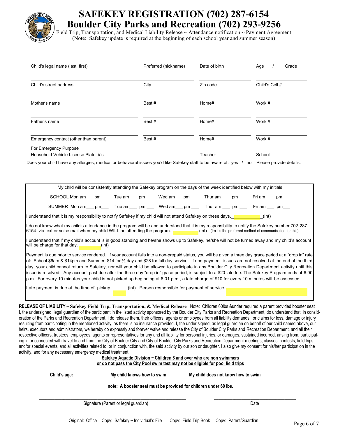

# **SAFEKEY REGISTRATION (702) 287-6154 Boulder City Parks and Recreation (702) 293-9256**

Field Trip, Transportation, and Medical Liability Release ~ Attendance notification ~ Payment Agreement (Note: Safekey update is required at the beginning of each school year and summer season)

| Child's legal name (last, first)                             | Preferred (nickname) | Date of birth | Grade<br>Age   |
|--------------------------------------------------------------|----------------------|---------------|----------------|
| Child's street address                                       | City                 | Zip code      | Child's Cell # |
| Mother's name                                                | Best#                | Home#         | Work #         |
| Father's name                                                | Best#                | Home#         | Work #         |
| Emergency contact (other than parent)                        | Best#                | Home#         | Work #         |
| For Emergency Purpose<br>Household Vehicle License Plate #'s |                      | Teacher       | School         |

Does your child have any allergies, medical or behavioral issues you'd like Safekey staff to be aware of: yes / no Please provide details.

My child will be consistently attending the Safekey program on the days of the week identified below with my initials SCHOOL Mon am\_\_\_ pm\_\_\_ Tue am\_\_\_ pm \_\_\_ Wed am\_\_\_ pm \_\_\_ Thur am \_\_\_ pm \_\_\_ Fri am \_\_\_ pm SUMMER Mon am \_\_\_ pm \_\_\_\_ Tue am \_\_\_ pm \_\_\_\_ Wed am \_\_\_ pm \_\_\_ Thur am \_\_\_ pm \_\_\_ Fri am \_\_\_ pm \_\_

I understand that it is my responsibility to notify Safekey if my child will not attend Safekey on these days. \_\_\_\_\_\_\_\_\_\_(int)

I do not know what my child's attendance in the program will be and understand that it is my responsibility to notify the Safekey number 702-287- 6154 via text or voice mail when my child WILL be attending the program. \_\_\_\_\_\_\_\_\_(int) (text is the preferred method of communication for this)

I understand that if my child's account is in good standing and he/she shows up to Safekey, he/she will not be turned away and my child's account will be charge for that day. \_\_\_\_\_\_\_(int)

Payment is due prior to service rendered. If your account falls into a non-prepaid status, you will be given a three day grace period at a "drop in" rate of: School \$6am & \$14pm and Summer \$14 for ½ day and \$28 for full day service. If non payment issues are not resolved at the end of the third day, your child cannot return to Safekey, nor will your child be allowed to participate in any Boulder City Recreation Department activity until this issue is resolved. Any account past due after the three day "drop in" grace period, is subject to a \$20 late fee. The Safekey Program ends at 6:00 p.m. For every 10 minutes your child is not picked up beginning at 6:01 p.m., a late charge of \$10 for every 10 minutes will be assessed.

Late payment is due at the time of pickup. \_\_\_\_\_\_(int) Person responsible for payment of service\_\_\_\_\_\_\_\_\_\_\_\_\_\_\_\_\_\_\_\_\_\_\_\_\_\_\_\_\_\_\_\_\_\_\_

**RELEASE OF LIABILITY** – **Safekey Field Trip, Transportation, & Medical Release** Note: Children 60lbs &under required a parent provided booster seat I, the undersigned, legal guardian of the participant in the listed activity sponsored by the Boulder City Parks and Recreation Department, do understand that, in consideration of the Parks and Recreation Department, I do release them, their officers, agents or employees from all liability demands or claims for loss, damage or injury resulting from participating in the mentioned activity, as there is no insurance provided. I, the under signed, as legal guardian on behalf of our child named above, our heirs, executors and administrators, we hereby do expressly and forever waive and release the City of Boulder City Parks and Recreation Department, and all their respective officers, trustees, employees, agents or representatives for any and all liability for personal injuries, or damages, sustained incurred, arising from, participating in or connected with travel to and from the City of Boulder City and City of Boulder City Parks and Recreation Department meetings, classes, contests, field trips, and/or special events, and all activities related to, or in conjunction with, the said activity by our son or daughter. I also give my consent for his/her participation in the activity, and for any ne

| <u>u iui aliy liecessaly enielyehcy meulcal liealment.</u> |                                                                                                                                                                                                                            |
|------------------------------------------------------------|----------------------------------------------------------------------------------------------------------------------------------------------------------------------------------------------------------------------------|
|                                                            |                                                                                                                                                                                                                            |
|                                                            |                                                                                                                                                                                                                            |
| My child knows how to swim                                 | My child does not know how to swim                                                                                                                                                                                         |
|                                                            |                                                                                                                                                                                                                            |
| Signature (Parent or legal quardian)                       | Date                                                                                                                                                                                                                       |
|                                                            | Safekey Aquatic Division ~ Children 8 and over who are non swimmers<br>or do not pass the City Pool swim test may not be eligible for pool field trips<br>note: A booster seat must be provided for children under 60 lbs. |